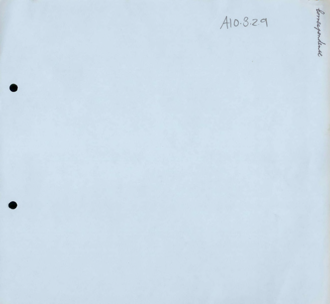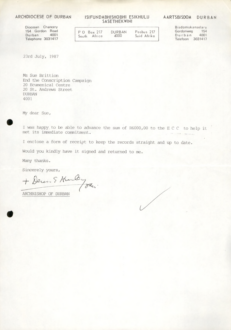Diocesan Chancery 154 Gordon Road<br>Durban 4001 Durban Telephone 3031417

# ARCHDIOCESE OF DURBAN ISIFUNDABHISHOBHI ESIKHULU AARTSBISDOM DURBAN SASETHEKWINI

**Bisdomskanselary** Gordonweg 154<br>Durban 4001  $D$ urban Telefoon 3031417

P 0 Box 217 DURBAN Posbus 217 South Africa

23rd July, 1987

Ms Sue Brittion End the Conscription Campaign 20 Ecumenical Centre 20 St. Andrews Street DURBAN 4001

My dear Sue,

I was happy,to be able to advance the sum of R6000,00 to the E C C to help it met its immediate commitment. .

I enclose a form of receipt to keep the records straight and up to date.

Would you kindly have it signed and returned to me.

Many thanks.

Sincerely yours,<br>+ Denen { Hamby Joter.

ARCHBISHOP OF DURBAN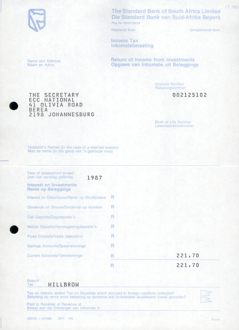$1.7.3(b)$ 

The Standard Bank of South Africa Limited Die Standard Bank van Suid-Afrika Beperk Reg No 62/00738/06

Registered Bank Geregistreerde Bank

Income Tax Inkomstebelasting

Name and Address **Return of Income from Investments**<br> **Consumer Address Consumer Consumer Address Consumer Consumer Address Consumer Consumer Consumer Consumer Consumer Consumer Consumer Consumer Consumer Consumer Co** Opgawe van Inkomste uit Beleggings

> Account Number Rekeningnommer

THE SECRETARY 002125102 ECC NATIONAL 41 OLIVIA ROAD BEREA 2198 JOHANNESBURG

> Book of Life Number Lewensboekienommer

Husband's Names (in the case of a married woman) Man se name (in die geval van 'n getroude vrou)

| Year of assessment ended<br>Jaar van aanslag geëindig<br>1987 |   |
|---------------------------------------------------------------|---|
| Interest on Investments<br><b>Rente op Beleggings</b>         |   |
| Interest on Debentures/Rente op Skuldbriewe                   | R |
| Dividends on Shares/Dividende op Aandele                      | R |
| Call Deposits/Dagdeposito's                                   | R |
| Notice Deposits/Kennisgewingdeposito's                        | R |
| Fixed Deposits/Vaste deposito's                               | R |
| Savings Accounts/Spaarrekeninge                               | R |
| Current Accounts/Tjekrekeninge                                | R |
|                                                               | R |

**Branch** HILLBR0W Tak

Tax on interest and/or Tax on Royalties which accrued to foreign creditors collected? Belasting op rente en/of belasting op tantieme wat buitelandse skuldeisers toeval gevorder?



Paid to Receiver of Revenue at Betaal aan die Ontvanger van Inkomste in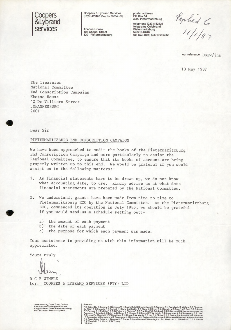# &Lybrand Services Abacus House

COOPERS Coopers & Lybrand Services

3201 Pietermaritzburg

postal address PO Box 54 3200 Pietermaritzburg

telephone (0331) 52336 telegrams Colybrand Pietermaritzburg telex 6-43787 fax (G3 auto) (0331) 946312

Replied to

our reference DGEW/jha

13 May 1987

The Treasurer National Committee End Conscription Campaign Khotso House 42 De Villiers Street JOHANNESBURG 2001

Dear Sir

### PIETERMARITZBURG END CONSCRIPTION CAMPAIGN

We have been approached to audit the books of the Pietermaritzburg End Conscription Campaign and more particularly to assist the Regional Committee, to ensure that its books of account are being properly written up bo this end. We would be grateful if you would assist us in the following matters

- 1. As financial statements have to be drawn up, we do not know what accounting date, to use. Kindly advise us at what date financial statements are prepared by the National Committee.
- 2. We understand, grants have been made from time to time to Pietermaritzburg ECC by the National Committee. As the Pietermaritzburg ECC, commenced its operation in July 1985, we should be grateful if you would send us a schedule setting out:
	- a) the amount of each payment
	- b) the date of each payment
	- c) the purpose for which each payment was made.

Your assistance in providing us with this information will be much appreciated.

Yours truly

D G E WIMBLE for: COOPERS & LYBRAND SERVICES (PTY) LTD

Johannesburg Cape Town Durban East London Empangeni Eshowe King W illiam 's Town Pietermaritzburg Port Elizabeth Pretoria Vryheld

P G Bailey R J G Barrow C J Booysen W H Boshoff de B Breytenbach H C Cameron R L Campbell J E W Cann D E Chapman<br>J J Clee \* P J Conrade R G Cottrell N I Curle J A Deakin A D Dixon J S Dixon D A J Donald M D Dunn \* M T East